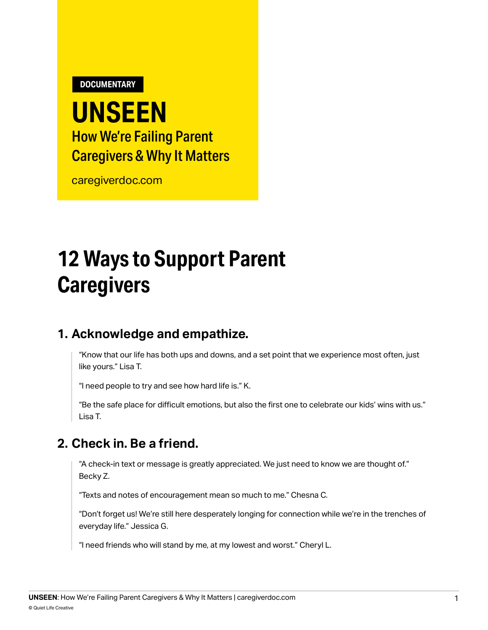**DOCUMENTARY**

## **UNSEEN** How We're Failing Parent Caregivers & Why It Matters

[caregiverdoc.com](http://caregiverdoc.com)

# **12 Ways to Support Parent Caregivers**

#### **1. Acknowledge and empathize.**

"Know that our life has both ups and downs, and a set point that we experience most often, just like yours." Lisa T.

"I need people to try and see how hard life is." K.

"Be the safe place for difficult emotions, but also the first one to celebrate our kids' wins with us." Lisa T.

#### **2. Check in. Be a friend.**

"A check-in text or message is greatly appreciated. We just need to know we are thought of." Becky Z.

"Texts and notes of encouragement mean so much to me." Chesna C.

"Don't forget us! We're still here desperately longing for connection while we're in the trenches of everyday life." Jessica G.

"I need friends who will stand by me, at my lowest and worst." Cheryl L.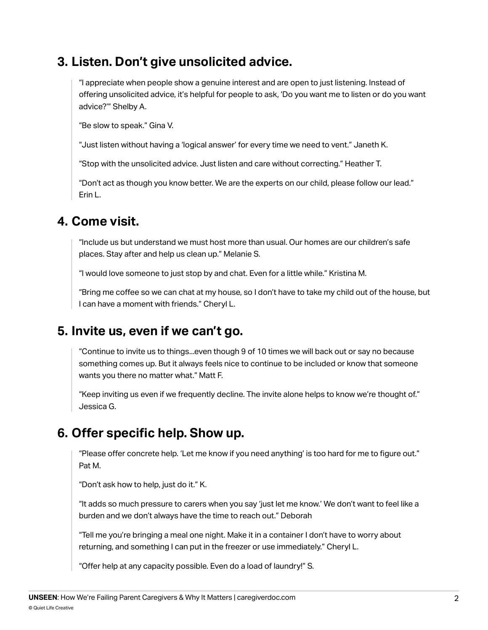#### **3. Listen. Don't give unsolicited advice.**

"I appreciate when people show a genuine interest and are open to just listening. Instead of offering unsolicited advice, it's helpful for people to ask, 'Do you want me to listen or do you want advice?'" Shelby A.

"Be slow to speak." Gina V.

"Just listen without having a 'logical answer' for every time we need to vent." Janeth K.

"Stop with the unsolicited advice. Just listen and care without correcting." Heather T.

"Don't act as though you know better. We are the experts on our child, please follow our lead." Erin L.

#### **4. Come visit.**

"Include us but understand we must host more than usual. Our homes are our children's safe places. Stay after and help us clean up." Melanie S.

"I would love someone to just stop by and chat. Even for a little while." Kristina M.

"Bring me coffee so we can chat at my house, so I don't have to take my child out of the house, but I can have a moment with friends." Cheryl L.

#### **5. Invite us, even if we can't go.**

"Continue to invite us to things...even though 9 of 10 times we will back out or say no because something comes up. But it always feels nice to continue to be included or know that someone wants you there no matter what." Matt F.

"Keep inviting us even if we frequently decline. The invite alone helps to know we're thought of." Jessica G.

#### **6. Offer specific help. Show up.**

"Please offer concrete help. 'Let me know if you need anything' is too hard for me to figure out." Pat M.

"Don't ask how to help, just do it." K.

"It adds so much pressure to carers when you say 'just let me know.' We don't want to feel like a burden and we don't always have the time to reach out." Deborah

"Tell me you're bringing a meal one night. Make it in a container I don't have to worry about returning, and something I can put in the freezer or use immediately." Cheryl L.

"Offer help at any capacity possible. Even do a load of laundry!" S.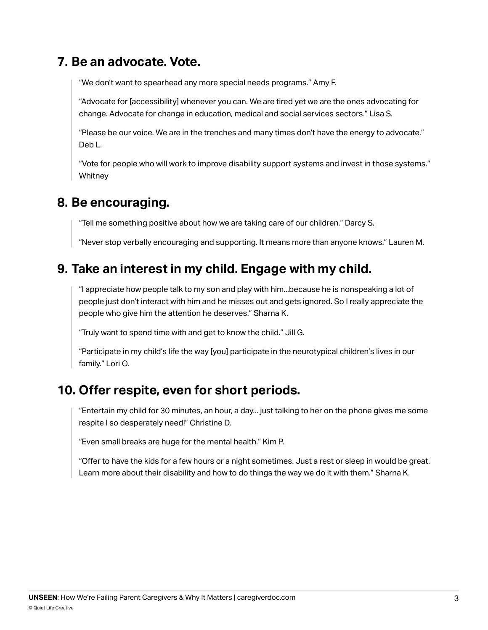#### **7. Be an advocate. Vote.**

"We don't want to spearhead any more special needs programs." Amy F.

"Advocate for [accessibility] whenever you can. We are tired yet we are the ones advocating for change. Advocate for change in education, medical and social services sectors." Lisa S.

"Please be our voice. We are in the trenches and many times don't have the energy to advocate." Deb L.

"Vote for people who will work to improve disability support systems and invest in those systems." **Whitney** 

#### **8. Be encouraging.**

"Tell me something positive about how we are taking care of our children." Darcy S.

"Never stop verbally encouraging and supporting. It means more than anyone knows." Lauren M.

#### **9. Take an interest in my child. Engage with my child.**

"I appreciate how people talk to my son and play with him...because he is nonspeaking a lot of people just don't interact with him and he misses out and gets ignored. So I really appreciate the people who give him the attention he deserves." Sharna K.

"Truly want to spend time with and get to know the child." Jill G.

"Participate in my child's life the way [you] participate in the neurotypical children's lives in our family." Lori O.

#### **10. Offer respite, even for short periods.**

"Entertain my child for 30 minutes, an hour, a day... just talking to her on the phone gives me some respite I so desperately need!" Christine D.

"Even small breaks are huge for the mental health." Kim P.

"Offer to have the kids for a few hours or a night sometimes. Just a rest or sleep in would be great. Learn more about their disability and how to do things the way we do it with them." Sharna K.